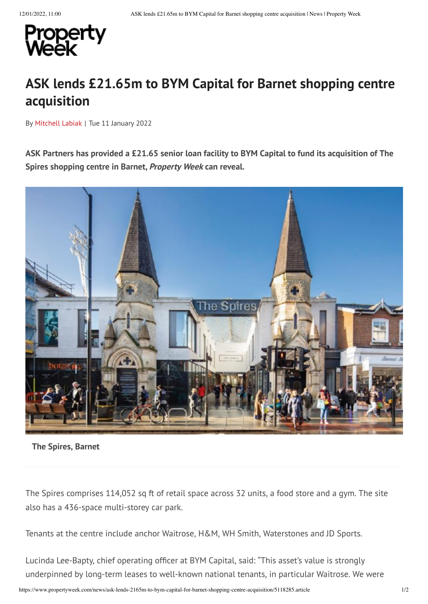

## **ASK lends £21.65m to BYM Capital for Barnet shopping centre acquisition**

By [Mitchell](https://www.propertyweek.com/mitchell-labiak/4502759.bio) Labiak | Tue 11 January 2022

ASK Partners has provided a £21.65 senior loan facility to BYM Capital to fund its acquisition of The **Spires shopping centre in Barnet, Property Week can reveal.**



## **The Spires, Barnet**

The Spires comprises 114,052 sq ft of retail space across 32 units, a food store and a gym. The site also has a 436-space multi-storey car park.

Tenants at the centre include anchor Waitrose, H&M, WH Smith, Waterstones and JD Sports.

Lucinda Lee-Bapty, chief operating officer at BYM Capital, said: "This asset's value is strongly underpinned by long-term leases to well-known national tenants, in particular Waitrose. We were